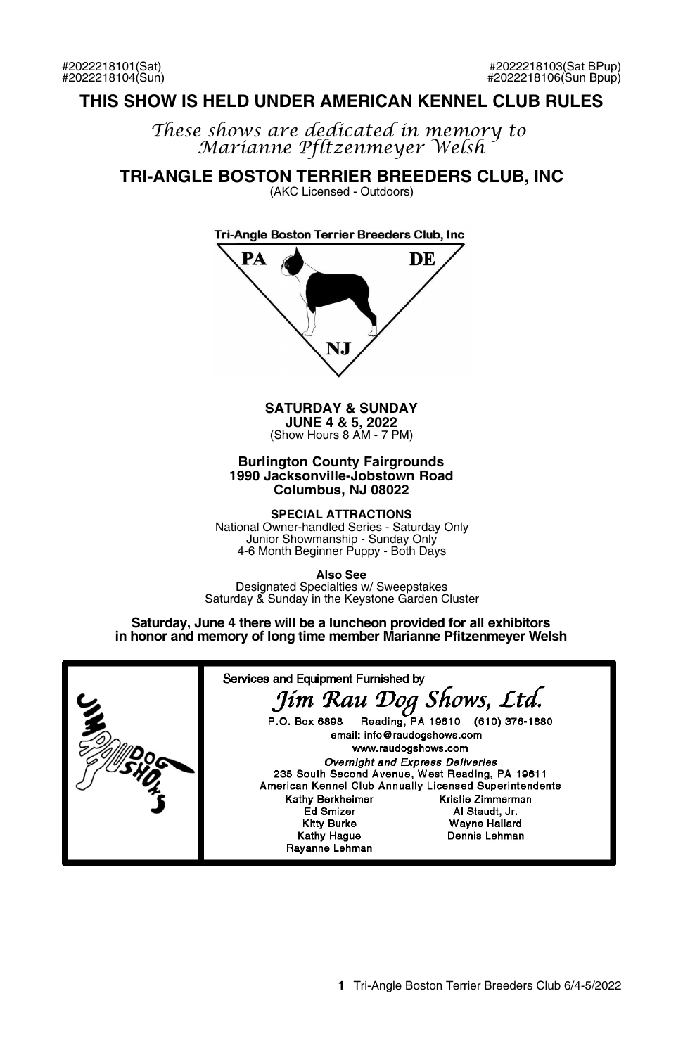# **THIS SHOW IS HELD UNDER AMERICAN KENNEL CLUB RULES**

*These shows are dedicated in memory to Marianne Pfltzenmeyer Welsh*

**TRI-ANGLE BOSTON TERRIER BREEDERS CLUB, INC**

(AKC Licensed - Outdoors)



**SATURDAY & SUNDAY JUNE 4 & 5, 2022** (Show Hours 8 AM - 7 PM)

#### **Burlington County Fairgrounds 1990 Jacksonville-Jobstown Road Columbus, NJ 08022**

**SPECIAL ATTRACTIONS** National Owner-handled Series - Saturday Only Junior Showmanship - Sunday Only 4-6 Month Beginner Puppy - Both Days

**Also See**

Designated Specialties w/ Sweepstakes Saturday & Sunday in the Keystone Garden Cluster

**Saturday, June 4 there will be a luncheon provided for all exhibitors in honor and memory of long time member Marianne Pfitzenmeyer Welsh**

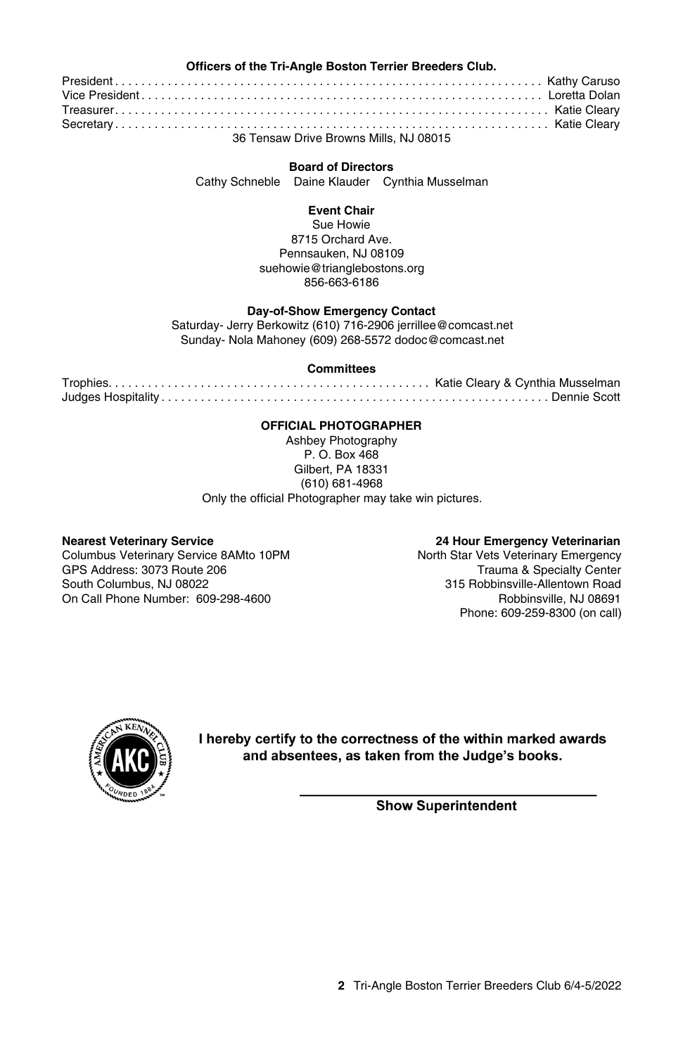#### **Officers of the Tri-Angle Boston Terrier Breeders Club.**

| 36 Tensaw Drive Browns Mills, NJ 08015 |  |
|----------------------------------------|--|

#### **Board of Directors**

Cathy Schneble Daine Klauder Cynthia Musselman

#### **Event Chair**

Sue Howie 8715 Orchard Ave. Pennsauken, NJ 08109 suehowie@trianglebostons.org 856-663-6186

# **Day-of-Show Emergency Contact**

Saturday- Jerry Berkowitz (610) 716-2906 jerrillee@comcast.net Sunday- Nola Mahoney (609) 268-5572 dodoc@comcast.net

#### **Committees**

Trophies. . . . . . . . . . . . . . . . . . . . . . . . . . . . . . . . . . . . . . . . . . . . . . . . . Katie Cleary & Cynthia Musselman Judges Hospitality . . . . . . . . . . . . . . . . . . . . . . . . . . . . . . . . . . . . . . . . . . . . . . . . . . . . . . . . . . . Dennie Scott

#### **OFFICIAL PHOTOGRAPHER**

Ashbey Photography P. O. Box 468 Gilbert, PA 18331 (610) 681-4968 Only the official Photographer may take win pictures.

Columbus Veterinary Service 8AMto 10PM North Star Vets Veterinary Emergency<br>GPS Address: 3073 Route 206 1999 Trauma & Specialty Center GPS Address: 3073 Route 206<br>South Columbus, NJ 08022 On Call Phone Number: 609-298-4600

#### **Nearest Veterinary Service 24 Hour Emergency Veterinarian**

315 Robbinsville-Allentown Road<br>Robbinsville. NJ 08691 Phone: 609-259-8300 (on call)



I hereby certify to the correctness of the within marked awards and absentees, as taken from the Judge's books.

**Show Superintendent**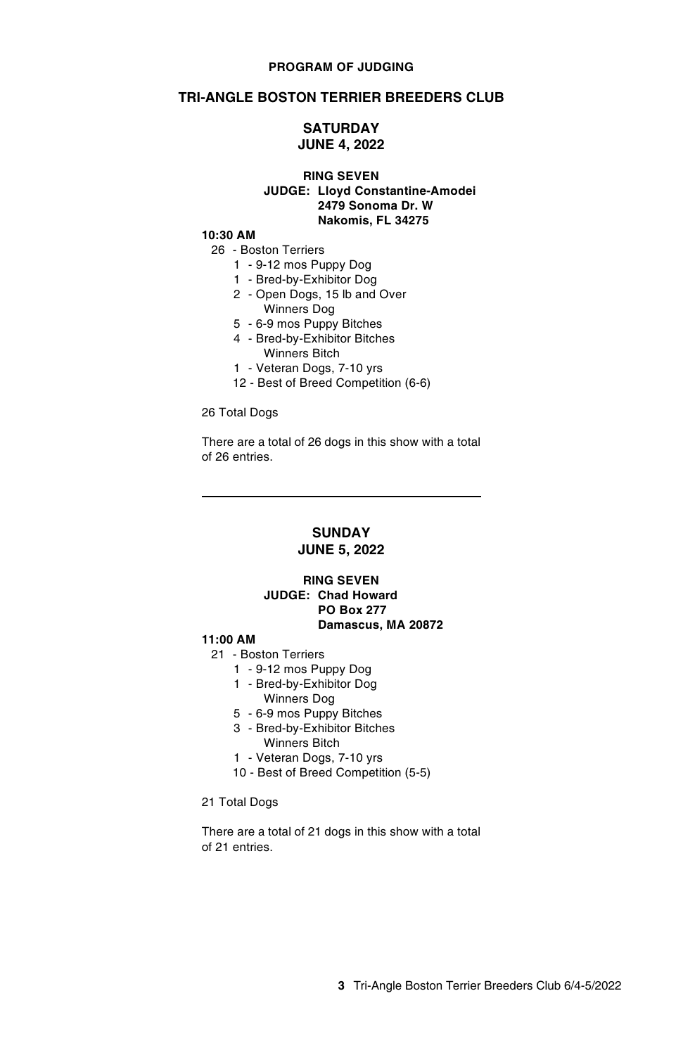#### **PROGRAM OF JUDGING**

# **TRI-ANGLE BOSTON TERRIER BREEDERS CLUB**

# **SATURDAY JUNE 4, 2022**

#### **RING SEVEN**

#### **JUDGE: Lloyd Constantine-Amodei 2479 Sonoma Dr. W Nakomis, FL 34275**

#### **10:30 AM**

- 26 Boston Terriers
	- 1 9-12 mos Puppy Dog
	- 1 Bred-by-Exhibitor Dog
	- 2 Open Dogs, 15 lb and Over Winners Dog
	- 5 6-9 mos Puppy Bitches
	- 4 Bred-by-Exhibitor Bitches
		- Winners Bitch
	- 1 Veteran Dogs, 7-10 yrs
	- 12 Best of Breed Competition (6-6)

26 Total Dogs

There are a total of 26 dogs in this show with a total of 26 entries.

### **SUNDAY JUNE 5, 2022**

#### **RING SEVEN JUDGE: Chad Howard PO Box 277 Damascus, MA 20872**

#### **11:00 AM**

21 - Boston Terriers

- 1 9-12 mos Puppy Dog
- 1 Bred-by-Exhibitor Dog
	- Winners Dog
- 5 6-9 mos Puppy Bitches
- 3 Bred-by-Exhibitor Bitches Winners Bitch
- 1 Veteran Dogs, 7-10 yrs
- 10 Best of Breed Competition (5-5)

#### 21 Total Dogs

There are a total of 21 dogs in this show with a total of 21 entries.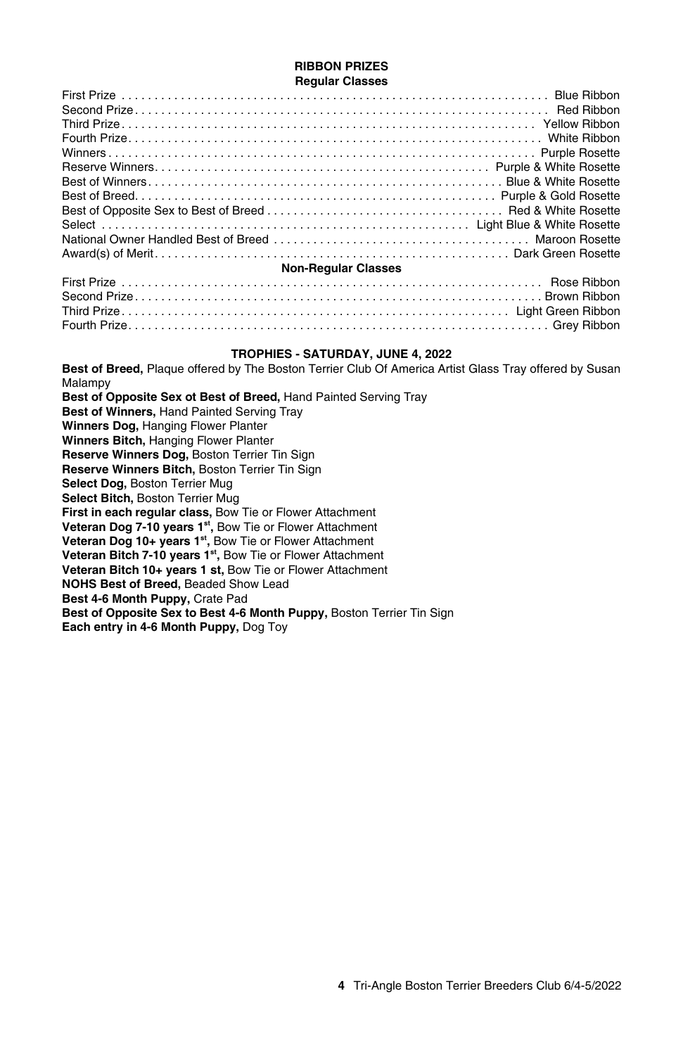#### **RIBBON PRIZES Regular Classes**

| <b>Non-Requiar Classes</b> |  |  |  |
|----------------------------|--|--|--|
|                            |  |  |  |
|                            |  |  |  |
|                            |  |  |  |

# Fourth Prize. . . . . . . . . . . . . . . . . . . . . . . . . . . . . . . . . . . . . . . . . . . . . . . . . . . . . . . . . . . . . . . . Grey Ribbon **TROPHIES - SATURDAY, JUNE 4, 2022**

**Best of Breed,** Plaque offered by The Boston Terrier Club Of America Artist Glass Tray offered by Susan Malampy **Best of Opposite Sex ot Best of Breed,** Hand Painted Serving Tray **Best of Winners,** Hand Painted Serving Tray **Winners Dog,** Hanging Flower Planter **Winners Bitch,** Hanging Flower Planter **Reserve Winners Dog,** Boston Terrier Tin Sign **Reserve Winners Bitch,** Boston Terrier Tin Sign **Select Dog,** Boston Terrier Mug **Select Bitch,** Boston Terrier Mug **First in each regular class,** Bow Tie or Flower Attachment **Veteran Dog 7-10 years 1<sup>st</sup>, Bow Tie or Flower Attachment<br><b>Veteran Dog 10+ years 1<sup>st</sup>, Bow Tie or Flower Attachment Veteran Bitch 7-10 years 1st ,** Bow Tie or Flower Attachment **Veteran Bitch 10+ years 1 st,** Bow Tie or Flower Attachment **NOHS Best of Breed,** Beaded Show Lead **Best 4-6 Month Puppy,** Crate Pad **Best of Opposite Sex to Best 4-6 Month Puppy, Boston Terrier Tin Sign Each entry in 4-6 Month Puppy,** Dog Toy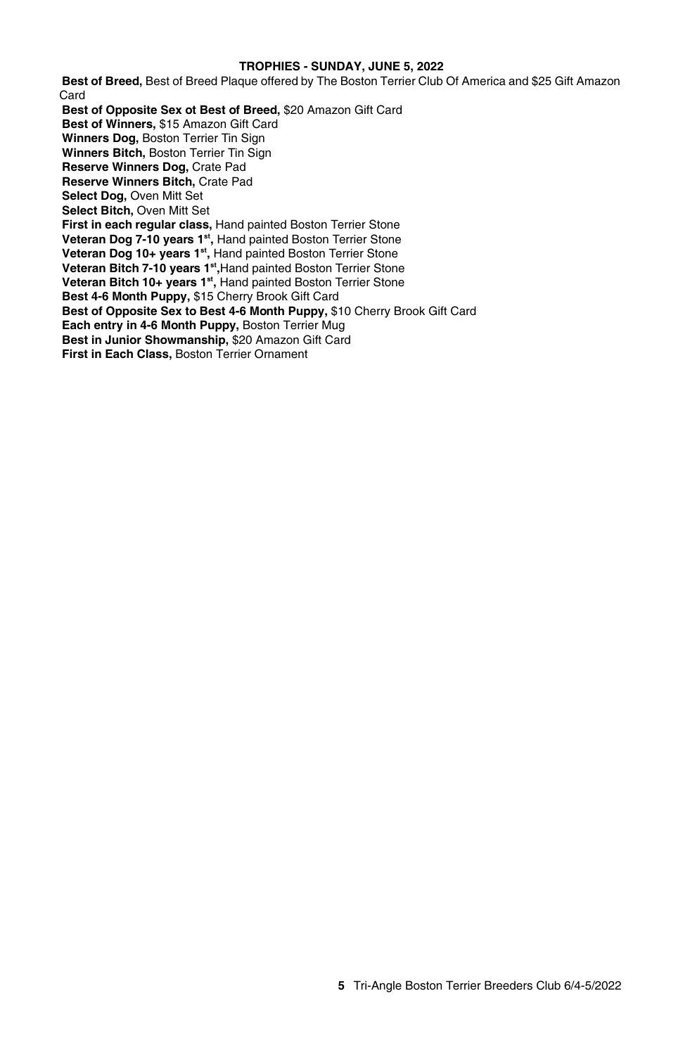#### **TROPHIES - SUNDAY, JUNE 5, 2022**

**Best of Breed,** Best of Breed Plaque offered by The Boston Terrier Club Of America and \$25 Gift Amazon Card **Best of Opposite Sex ot Best of Breed,** \$20 Amazon Gift Card **Best of Winners,** \$15 Amazon Gift Card **Winners Dog,** Boston Terrier Tin Sign **Winners Bitch,** Boston Terrier Tin Sign **Reserve Winners Dog,** Crate Pad **Reserve Winners Bitch,** Crate Pad **Select Dog,** Oven Mitt Set **Select Bitch,** Oven Mitt Set **First in each regular class,** Hand painted Boston Terrier Stone **Veteran Dog 7-10 years 1st ,** Hand painted Boston Terrier Stone **Veteran Dog 10+ years 1st ,** Hand painted Boston Terrier Stone **Veteran Bitch 7-10 years 1<sup>st</sup>,**Hand painted Boston Terrier Stone<br>**Veteran Bitch 10+ years 1<sup>st</sup>,** Hand painted Boston Terrier Stone **Best 4-6 Month Puppy,** \$15 Cherry Brook Gift Card **Best of Opposite Sex to Best 4-6 Month Puppy,** \$10 Cherry Brook Gift Card **Each entry in 4-6 Month Puppy,** Boston Terrier Mug **Best in Junior Showmanship,** \$20 Amazon Gift Card **First in Each Class,** Boston Terrier Ornament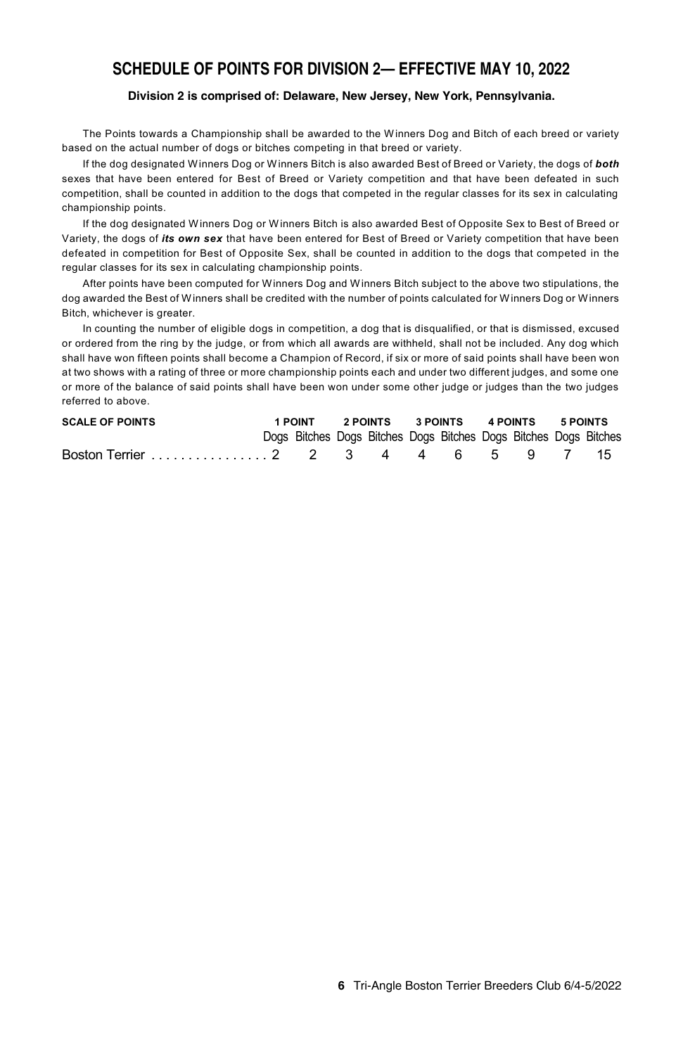# **SCHEDULE OF POINTS FOR DIVISION 2— EFFECTIVE MAY 10, 2022**

#### **Division 2 is comprised of: Delaware, New Jersey, New York, Pennsylvania.**

The Points towards a Championship shall be awarded to the Winners Dog and Bitch of each breed or variety based on the actual number of dogs or bitches competing in that breed or variety.

If the dog designated Winners Dog or Winners Bitch is also awarded Best of Breed or Variety, the dogs of *both* sexes that have been entered for Best of Breed or Variety competition and that have been defeated in such competition, shall be counted in addition to the dogs that competed in the regular classes for its sex in calculating championship points.

If the dog designated Winners Dog or Winners Bitch is also awarded Best of Opposite Sex to Best of Breed or Variety, the dogs of *its own sex* that have been entered for Best of Breed or Variety competition that have been defeated in competition for Best of Opposite Sex, shall be counted in addition to the dogs that competed in the regular classes for its sex in calculating championship points.

After points have been computed for Winners Dog and Winners Bitch subject to the above two stipulations, the dog awarded the Best of Winners shall be credited with the number of points calculated for Winners Dog or Winners Bitch, whichever is greater.

In counting the number of eligible dogs in competition, a dog that is disqualified, or that is dismissed, excused or ordered from the ring by the judge, or from which all awards are withheld, shall not be included. Any dog which shall have won fifteen points shall become a Champion of Record, if six or more of said points shall have been won at two shows with a rating of three or more championship points each and under two different judges, and some one or more of the balance of said points shall have been won under some other judge or judges than the two judges referred to above.

| <b>SCALE OF POINTS</b>              |  |  | 1 POINT 2 POINTS 3 POINTS 4 POINTS 5 POINTS |  |  |                                                                  |  |  |  |  |
|-------------------------------------|--|--|---------------------------------------------|--|--|------------------------------------------------------------------|--|--|--|--|
|                                     |  |  |                                             |  |  | Dogs Bitches Dogs Bitches Dogs Bitches Dogs Bitches Dogs Bitches |  |  |  |  |
| Boston Terrier 2 2 3 4 4 6 5 9 7 15 |  |  |                                             |  |  |                                                                  |  |  |  |  |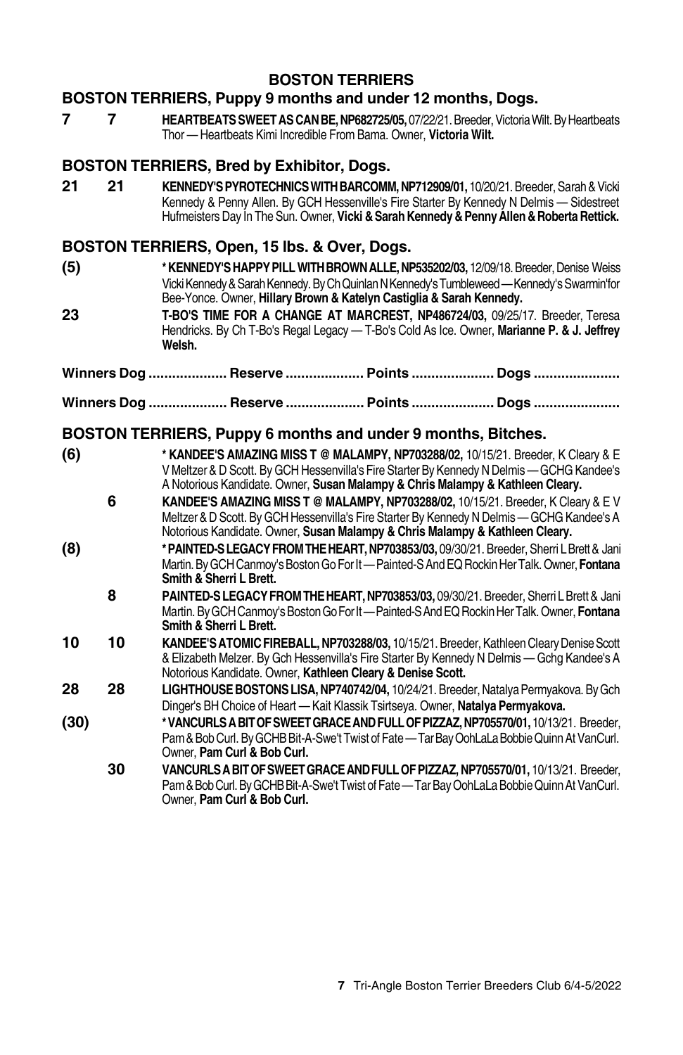# **BOSTON TERRIERS**

# **BOSTON TERRIERS, Puppy 9 months and under 12 months, Dogs.**

**7 7 HEARTBEATSSWEETASCANBE,NP682725/05,** 07/22/21.Breeder,VictoriaWilt.ByHeartbeats Thor — Heartbeats Kimi Incredible From Bama. Owner, **Victoria Wilt.**

# **BOSTON TERRIERS, Bred by Exhibitor, Dogs.**

**21 21 KENNEDY'SPYROTECHNICSWITHBARCOMM,NP712909/01,** 10/20/21.Breeder, Sarah&Vicki Kennedy & Penny Allen. By GCH Hessenville's Fire Starter By Kennedy N Delmis — Sidestreet Hufmeisters Day In The Sun. Owner, Vicki & Sarah Kennedy & Penny Allen & Roberta Rettick.

# **BOSTON TERRIERS, Open, 15 lbs. & Over, Dogs.**

- **(5) \*KENNEDY'SHAPPYPILLWITHBROWNALLE,NP535202/03,** 12/09/18.Breeder,Denise Weiss Vicki Kennedy & Sarah Kennedy. By Ch Quinlan N Kennedy's Tumbleweed—Kennedy's Swarmin'for Bee-Yonce. Owner, **Hillary Brown & Katelyn Castiglia & Sarah Kennedy.**
- **23 T-BO'S TIME FOR A CHANGE AT MARCREST, NP486724/03,** 09/25/17. Breeder, Teresa Hendricks. By Ch T-Bo's Regal Legacy — T-Bo's Cold As Ice. Owner, **Marianne P. & J. Jeffrey Welsh.**
- **Winners Dog .................... Reserve .................... Points ..................... Dogs ......................**
- **Winners Dog .................... Reserve .................... Points ..................... Dogs ......................**

# **BOSTON TERRIERS, Puppy 6 months and under 9 months, Bitches.**

| (6)  |    | * KANDEE'S AMAZING MISS T @ MALAMPY, NP703288/02, 10/15/21. Breeder, K Cleary & E<br>V Meltzer & D Scott. By GCH Hessenvilla's Fire Starter By Kennedy N Delmis - GCHG Kandee's<br>A Notorious Kandidate. Owner, Susan Malampy & Chris Malampy & Kathleen Cleary. |
|------|----|-------------------------------------------------------------------------------------------------------------------------------------------------------------------------------------------------------------------------------------------------------------------|
|      | 6  | KANDEE'S AMAZING MISS T @ MALAMPY, NP703288/02, 10/15/21, Breeder, K Cleary & E V<br>Meltzer & D Scott. By GCH Hessenvilla's Fire Starter By Kennedy N Delmis - GCHG Kandee's A<br>Notorious Kandidate. Owner, Susan Malampy & Chris Malampy & Kathleen Cleary.   |
| (8)  |    | * PAINTED-S LEGACY FROM THE HEART, NP703853/03, 09/30/21. Breeder, Sherri L Brett & Jani<br>Martin. By GCH Canmoy's Boston Go For It - Painted-S And EQ Rockin Her Talk. Owner, Fontana<br>Smith & Sherri L Brett.                                                |
|      | 8  | PAINTED-SLEGACY FROM THE HEART. NP703853/03. 09/30/21. Breeder. Sherri L Brett & Jani<br>Martin. By GCH Canmoy's Boston Go For It - Painted-S And EQ Rockin Her Talk. Owner, Fontana<br>Smith & Sherri L Brett.                                                   |
| 10   | 10 | KANDEE'S ATOMIC FIREBALL, NP703288/03, 10/15/21. Breeder, Kathleen Cleary Denise Scott<br>& Elizabeth Melzer. By Gch Hessenvilla's Fire Starter By Kennedy N Delmis - Gchg Kandee's A<br>Notorious Kandidate. Owner, Kathleen Cleary & Denise Scott.              |
| 28   | 28 | LIGHTHOUSE BOSTONS LISA, NP740742/04, 10/24/21. Breeder, Natalya Permyakova. By Gch<br>Dinger's BH Choice of Heart - Kait Klassik Tsirtseya. Owner, Natalya Permyakova.                                                                                           |
| (30) |    | * VANCURLS A BIT OF SWEET GRACE AND FULL OF PIZZAZ, NP705570/01, 10/13/21. Breeder,<br>Pam & Bob Curl. By GCHB Bit-A-Swe't Twist of Fate — Tar Bay OohLaLa Bobbie Quinn At VanCurl.<br>Owner. Pam Curl & Bob Curl.                                                |
|      | 30 | VANCURLS A BIT OF SWEET GRACE AND FULL OF PIZZAZ. NP705570/01.10/13/21. Breeder.<br>Pam & Bob Curl. By GCHB Bit-A-Swe't Twist of Fate — Tar Bay OohLaLa Bobbie Quinn At VanCurl.<br>Owner, Pam Curl & Bob Curl.                                                   |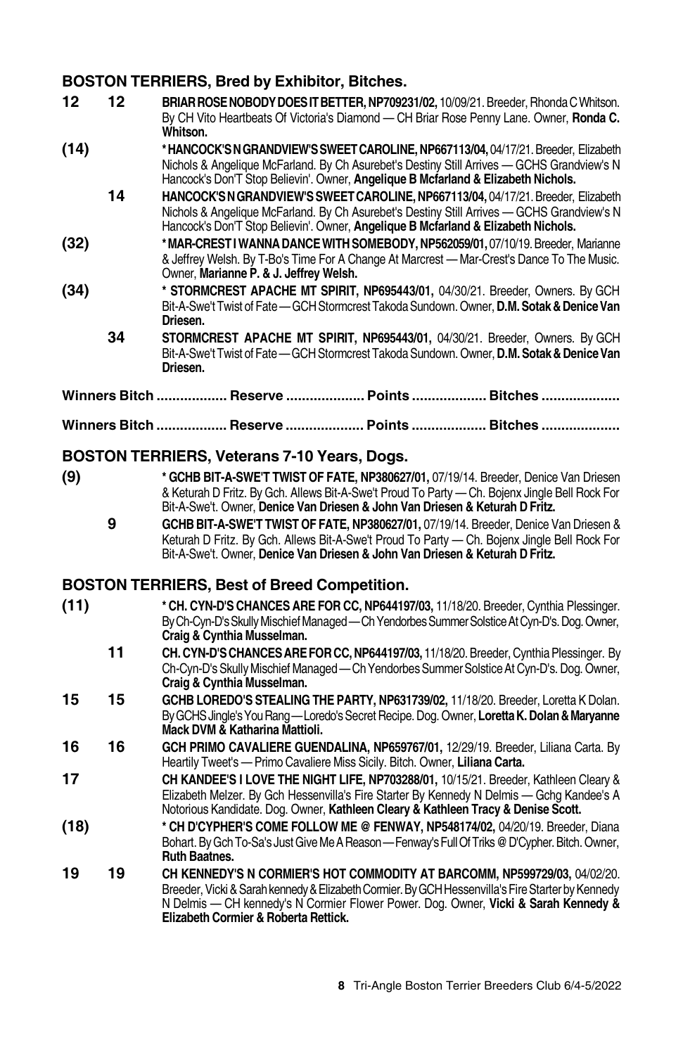# **BOSTON TERRIERS, Bred by Exhibitor, Bitches.**

- **12 12 BRIARROSENOBODYDOESITBETTER, NP709231/02,** 10/09/21. Breeder, RhondaCWhitson. By CH Vito Heartbeats Of Victoria's Diamond — CH Briar Rose Penny Lane. Owner, **Ronda C. Whitson.**
- **(14) \*HANCOCK'SNGRANDVIEW'SSWEETCAROLINE,NP667113/04,** 04/17/21.Breeder, Elizabeth Nichols & Angelique McFarland. By Ch Asurebet's Destiny Still Arrives — GCHS Grandview's N Hancock's Don'T Stop Believin'. Owner, **Angelique B Mcfarland & Elizabeth Nichols.**
	- **14 HANCOCK'SNGRANDVIEW'SSWEETCAROLINE, NP667113/04,** 04/17/21.Breeder, Elizabeth Nichols & Angelique McFarland. By Ch Asurebet's Destiny Still Arrives — GCHS Grandview's N Hancock's Don'T Stop Believin'. Owner, **Angelique B Mcfarland & Elizabeth Nichols.**
- **(32) \*MAR-CRESTI WANNADANCEWITHSOMEBODY, NP562059/01,** 07/10/19.Breeder, Marianne & Jeffrey Welsh. By T-Bo's Time For A Change At Marcrest — Mar-Crest's Dance To The Music. Owner, **Marianne P. & J. Jeffrey Welsh.**
- **(34) \* STORMCREST APACHE MT SPIRIT, NP695443/01,** 04/30/21. Breeder, Owners. By GCH Bit-A-Swe't Twist of Fate — GCH Stormcrest Takoda Sundown. Owner, **D.M. Sotak & Denice Van Driesen.**
	- **34 STORMCREST APACHE MT SPIRIT, NP695443/01,** 04/30/21. Breeder, Owners. By GCH Bit-A-Swe't Twist of Fate — GCH Stormcrest Takoda Sundown. Owner. **D.M. Sotak & Denice Van Driesen.**

**Winners Bitch .................. Reserve .................... Points ................... Bitches ....................**

**Winners Bitch .................. Reserve .................... Points ................... Bitches ....................**

# **BOSTON TERRIERS, Veterans 7-10 Years, Dogs.**

- **(9) \* GCHB BIT-A-SWE'T TWISTOF FATE, NP380627/01,** 07/19/14. Breeder, Denice Van Driesen & Keturah D Fritz. By Gch. Allews Bit-A-Swe't Proud To Party — Ch. Bojenx Jingle Bell Rock For Bit-A-Swe't. Owner, **Denice Van Driesen & John Van Driesen & Keturah D Fritz.**
	- **9 GCHBBIT-A-SWE'T TWISTOF FATE, NP380627/01,** 07/19/14. Breeder, Denice Van Driesen & Keturah D Fritz. By Gch. Allews Bit-A-Swe't Proud To Party — Ch. Bojenx Jingle Bell Rock For Bit-A-Swe't. Owner, **Denice Van Driesen & John Van Driesen & Keturah D Fritz.**

# **BOSTON TERRIERS, Best of Breed Competition.**

- **(11) \* CH. CYN-D'S CHANCES ARE FOR CC, NP644197/03,** 11/18/20. Breeder, Cynthia Plessinger. By Ch-Cyn-D's Skully Mischief Managed—Ch Yendorbes Summer Solstice At Cyn-D's. Dog. Owner, **Craig & Cynthia Musselman.**
	- 11 CH. CYN-D'S CHANCES ARE FOR CC, NP644197/03, 11/18/20. Breeder, Cynthia Plessinger. By Ch-Cyn-D'sSkullyMischief Managed—ChYendorbesSummerSolsticeAt Cyn-D's. Dog. Owner, **Craig & Cynthia Musselman.**
- **15 15 GCHB LOREDO'S STEALINGTHE PARTY, NP631739/02,** 11/18/20. Breeder, Loretta K Dolan. By GCHS Jingle's You Rang—Loredo's Secret Recipe. Dog. Owner, Loretta K. Dolan & Maryanne **Mack DVM & Katharina Mattioli.**
- **16 16 GCH PRIMO CAVALIERE GUENDALINA, NP659767/01,** 12/29/19. Breeder, Liliana Carta. By Heartily Tweet's — Primo Cavaliere Miss Sicily. Bitch. Owner, **Liliana Carta.**
- **17 CH KANDEE'S I LOVE THE NIGHT LIFE, NP703288/01,** 10/15/21. Breeder, Kathleen Cleary & Elizabeth Melzer. By Gch Hessenvilla's Fire Starter By Kennedy N Delmis — Gchg Kandee's A Notorious Kandidate. Dog. Owner, **Kathleen Cleary & Kathleen Tracy & Denise Scott.**
- **(18) \* CH D'CYPHER'S COME FOLLOW ME @ FENWAY, NP548174/02,** 04/20/19. Breeder, Diana Bohart. By Gch To-Sa's Just Give Me A Reason—Fenway's Full Of Triks @ D'Cypher. Bitch. Owner, **Ruth Baatnes.**
- **19 19 CH KENNEDY'S N CORMIER'S HOT COMMODITY AT BARCOMM, NP599729/03,** 04/02/20. Breeder, Vicki & Sarah kennedy & Elizabeth Cormier. By GCH Hessenvilla's Fire Starter by Kennedy N Delmis — CH kennedy's N Cormier Flower Power. Dog. Owner, **Vicki & Sarah Kennedy & Elizabeth Cormier & Roberta Rettick.**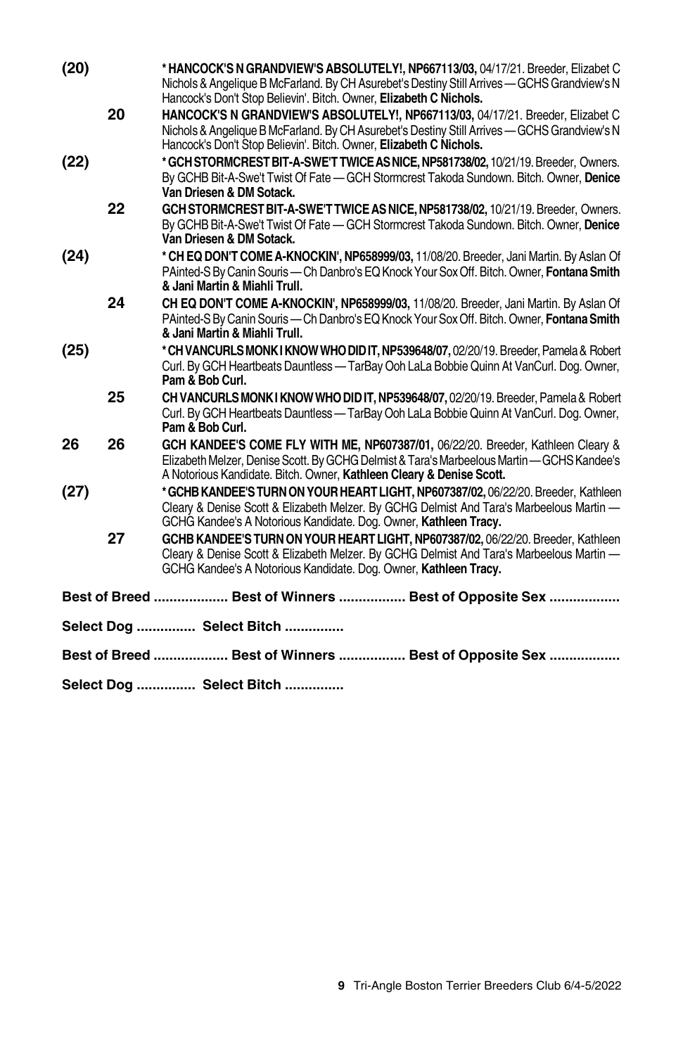| (20)                                                 |    | * HANCOCK'S N GRANDVIEW'S ABSOLUTELY!, NP667113/03, 04/17/21. Breeder, Elizabet C                                                                                              |  |  |
|------------------------------------------------------|----|--------------------------------------------------------------------------------------------------------------------------------------------------------------------------------|--|--|
|                                                      |    | Nichols & Angelique B McFarland. By CH Asurebet's Destiny Still Arrives — GCHS Grandview's N<br>Hancock's Don't Stop Believin'. Bitch. Owner, Elizabeth C Nichols.             |  |  |
|                                                      | 20 | HANCOCK'S N GRANDVIEW'S ABSOLUTELY!, NP667113/03, 04/17/21. Breeder, Elizabet C                                                                                                |  |  |
|                                                      |    | Nichols & Angelique B McFarland. By CH Asurebet's Destiny Still Arrives - GCHS Grandview's N<br>Hancock's Don't Stop Believin'. Bitch. Owner, Elizabeth C Nichols.             |  |  |
| (22)                                                 |    | * GCH STORMCREST BIT-A-SWE'T TWICE AS NICE, NP581738/02, 10/21/19. Breeder, Owners.                                                                                            |  |  |
|                                                      |    | By GCHB Bit-A-Swe't Twist Of Fate — GCH Stormcrest Takoda Sundown. Bitch. Owner. Denice<br>Van Driesen & DM Sotack.                                                            |  |  |
|                                                      | 22 | GCH STORMCREST BIT-A-SWE'T TWICE AS NICE, NP581738/02, 10/21/19. Breeder, Owners.                                                                                              |  |  |
|                                                      |    | By GCHB Bit-A-Swe't Twist Of Fate - GCH Stormcrest Takoda Sundown. Bitch. Owner, Denice<br>Van Driesen & DM Sotack.                                                            |  |  |
| (24)                                                 |    | * CH EQ DON'T COME A-KNOCKIN', NP658999/03, 11/08/20. Breeder, Jani Martin. By Aslan Of                                                                                        |  |  |
|                                                      |    | PAinted-S By Canin Souris - Ch Danbro's EQ Knock Your Sox Off. Bitch. Owner, Fontana Smith<br>& Jani Martin & Miahli Trull.                                                    |  |  |
|                                                      | 24 | CH EQ DON'T COME A-KNOCKIN', NP658999/03, 11/08/20. Breeder, Jani Martin. By Aslan Of                                                                                          |  |  |
|                                                      |    | PAinted-S By Canin Souris - Ch Danbro's EQ Knock Your Sox Off. Bitch. Owner, Fontana Smith                                                                                     |  |  |
|                                                      |    | & Jani Martin & Miahli Trull.                                                                                                                                                  |  |  |
| (25)                                                 |    | * CH VANCURLS MONK I KNOW WHO DID IT, NP539648/07, 02/20/19. Breeder, Pamela & Robert                                                                                          |  |  |
|                                                      |    | Curl. By GCH Heartbeats Dauntless - TarBay Ooh LaLa Bobbie Quinn At VanCurl. Dog. Owner,<br>Pam & Bob Curl.                                                                    |  |  |
|                                                      | 25 | CH VANCURLS MONK I KNOW WHO DID IT, NP539648/07, 02/20/19. Breeder, Pamela & Robert                                                                                            |  |  |
|                                                      |    | Curl. By GCH Heartbeats Dauntless - TarBay Ooh LaLa Bobbie Quinn At VanCurl, Dog. Owner.                                                                                       |  |  |
|                                                      |    | Pam & Bob Curl.                                                                                                                                                                |  |  |
| 26                                                   | 26 | GCH KANDEE'S COME FLY WITH ME, NP607387/01, 06/22/20. Breeder, Kathleen Cleary &<br>Elizabeth Melzer, Denise Scott. By GCHG Delmist & Tara's Marbeelous Martin - GCHS Kandee's |  |  |
|                                                      |    | A Notorious Kandidate. Bitch. Owner, Kathleen Cleary & Denise Scott.                                                                                                           |  |  |
| (27)                                                 |    | *GCHB KANDEE'S TURN ON YOUR HEART LIGHT, NP607387/02, 06/22/20. Breeder, Kathleen                                                                                              |  |  |
|                                                      |    | Cleary & Denise Scott & Elizabeth Melzer. By GCHG Delmist And Tara's Marbeelous Martin -                                                                                       |  |  |
|                                                      |    | GCHG Kandee's A Notorious Kandidate. Dog. Owner, Kathleen Tracy.                                                                                                               |  |  |
|                                                      | 27 | GCHB KANDEE'S TURN ON YOUR HEART LIGHT. NP607387/02. 06/22/20. Breeder. Kathleen<br>Cleary & Denise Scott & Elizabeth Melzer. By GCHG Delmist And Tara's Marbeelous Martin -   |  |  |
|                                                      |    | GCHG Kandee's A Notorious Kandidate. Dog. Owner, Kathleen Tracy.                                                                                                               |  |  |
|                                                      |    | Best of Breed  Best of Winners  Best of Opposite Sex                                                                                                                           |  |  |
|                                                      |    |                                                                                                                                                                                |  |  |
|                                                      |    | Select Dog  Select Bitch                                                                                                                                                       |  |  |
| Best of Breed  Best of Winners  Best of Opposite Sex |    |                                                                                                                                                                                |  |  |
|                                                      |    | Select Dog  Select Bitch                                                                                                                                                       |  |  |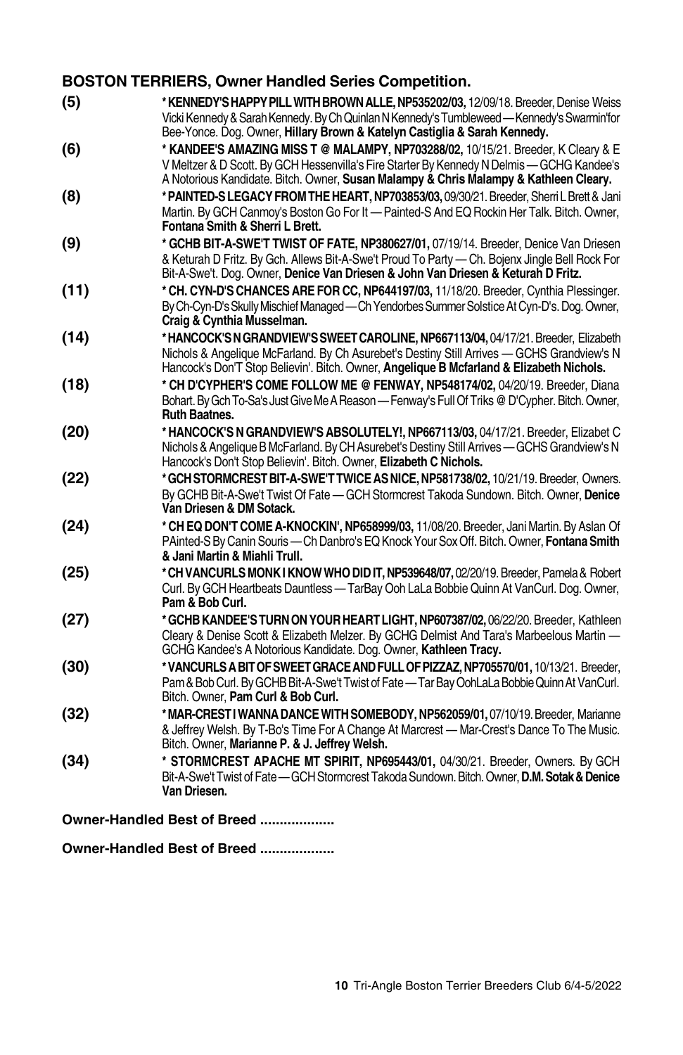# **BOSTON TERRIERS, Owner Handled Series Competition.**

| (5)  | * KENNEDY'S HAPPY PILL WITH BROWN ALLE, NP535202/03, 12/09/18. Breeder, Denise Weiss<br>Vicki Kennedy & Sarah Kennedy. By Ch Quinlan N Kennedy's Tumbleweed - Kennedy's Swarmin'for<br>Bee-Yonce. Dog. Owner, Hillary Brown & Katelyn Castiglia & Sarah Kennedy.             |
|------|------------------------------------------------------------------------------------------------------------------------------------------------------------------------------------------------------------------------------------------------------------------------------|
| (6)  | * KANDEE'S AMAZING MISS T @ MALAMPY, NP703288/02, 10/15/21. Breeder, K Cleary & E<br>V Meltzer & D Scott. By GCH Hessenvilla's Fire Starter By Kennedy N Delmis - GCHG Kandee's<br>A Notorious Kandidate. Bitch. Owner, Susan Malampy & Chris Malampy & Kathleen Cleary.     |
| (8)  | * PAINTED-S LEGACY FROM THE HEART, NP703853/03, 09/30/21. Breeder, Sherri L Brett & Jani<br>Martin. By GCH Canmoy's Boston Go For It - Painted-S And EQ Rockin Her Talk. Bitch. Owner,<br>Fontana Smith & Sherri L Brett.                                                    |
| (9)  | * GCHB BIT-A-SWE'T TWIST OF FATE, NP380627/01, 07/19/14. Breeder, Denice Van Driesen<br>& Keturah D Fritz. By Gch. Allews Bit-A-Swe't Proud To Party - Ch. Bojenx Jingle Bell Rock For<br>Bit-A-Swe't. Dog. Owner, Denice Van Driesen & John Van Driesen & Keturah D Fritz.  |
| (11) | * CH. CYN-D'S CHANCES ARE FOR CC, NP644197/03, 11/18/20. Breeder, Cynthia Plessinger.<br>By Ch-Cyn-D's Skully Mischief Managed - Ch Yendorbes Summer Solstice At Cyn-D's. Dog. Owner,<br>Craig & Cynthia Musselman.                                                          |
| (14) | *HANCOCK'S N GRANDVIEW'S SWEET CAROLINE, NP667113/04, 04/17/21. Breeder, Elizabeth<br>Nichols & Angelique McFarland. By Ch Asurebet's Destiny Still Arrives — GCHS Grandview's N<br>Hancock's Don'T Stop Believin'. Bitch. Owner, Angelique B Mcfarland & Elizabeth Nichols. |
| (18) | * CH D'CYPHER'S COME FOLLOW ME @ FENWAY, NP548174/02, 04/20/19. Breeder, Diana<br>Bohart. By Gch To-Sa's Just Give Me A Reason - Fenway's Full Of Triks @ D'Cypher. Bitch. Owner,<br><b>Ruth Baatnes.</b>                                                                    |
| (20) | * HANCOCK'S N GRANDVIEW'S ABSOLUTELY!, NP667113/03, 04/17/21. Breeder, Elizabet C<br>Nichols & Angelique B McFarland. By CH Asurebet's Destiny Still Arrives - GCHS Grandview's N<br>Hancock's Don't Stop Believin'. Bitch. Owner, Elizabeth C Nichols.                      |
| (22) | *GCH STORMCREST BIT-A-SWE'T TWICE AS NICE, NP581738/02, 10/21/19. Breeder, Owners.<br>By GCHB Bit-A-Swe't Twist Of Fate - GCH Stormcrest Takoda Sundown. Bitch. Owner, Denice<br>Van Driesen & DM Sotack.                                                                    |
| (24) | * CH EQ DON'T COME A-KNOCKIN', NP658999/03, 11/08/20. Breeder, Jani Martin. By Aslan Of<br>PAinted-S By Canin Souris - Ch Danbro's EQ Knock Your Sox Off. Bitch. Owner, Fontana Smith<br>& Jani Martin & Miahli Trull.                                                       |
| (25) | * CH VANCURLS MONK I KNOW WHO DID IT, NP539648/07, 02/20/19. Breeder, Pamela & Robert<br>Curl. By GCH Heartbeats Dauntless - TarBay Ooh LaLa Bobbie Quinn At VanCurl. Dog. Owner,<br>Pam & Bob Curl.                                                                         |
| (27) | * GCHB KANDEE'S TURN ON YOUR HEART LIGHT, NP607387/02, 06/22/20. Breeder, Kathleen<br>Cleary & Denise Scott & Elizabeth Melzer. By GCHG Delmist And Tara's Marbeelous Martin -<br>GCHG Kandee's A Notorious Kandidate. Dog. Owner, Kathleen Tracy.                           |
| (30) | * VANCURLS A BIT OF SWEET GRACE AND FULL OF PIZZAZ, NP705570/01, 10/13/21. Breeder,<br>Pam & Bob Curl. By GCHB Bit-A-Swe't Twist of Fate — Tar Bay OohLaLa Bobbie Quinn At VanCurl.<br>Bitch. Owner, Pam Curl & Bob Curl.                                                    |
| (32) | *MAR-CREST I WANNA DANCE WITH SOMEBODY, NP562059/01, 07/10/19. Breeder, Marianne<br>& Jeffrey Welsh. By T-Bo's Time For A Change At Marcrest - Mar-Crest's Dance To The Music.<br>Bitch. Owner, Marianne P. & J. Jeffrey Welsh.                                              |
| (34) | * STORMCREST APACHE MT SPIRIT, NP695443/01, 04/30/21. Breeder, Owners. By GCH<br>Bit-A-Swe't Twist of Fate - GCH Stormcrest Takoda Sundown. Bitch. Owner, D.M. Sotak & Denice<br>Van Driesen.                                                                                |
|      | Owner-Handled Best of Breed                                                                                                                                                                                                                                                  |

**Owner-Handled Best of Breed ...................**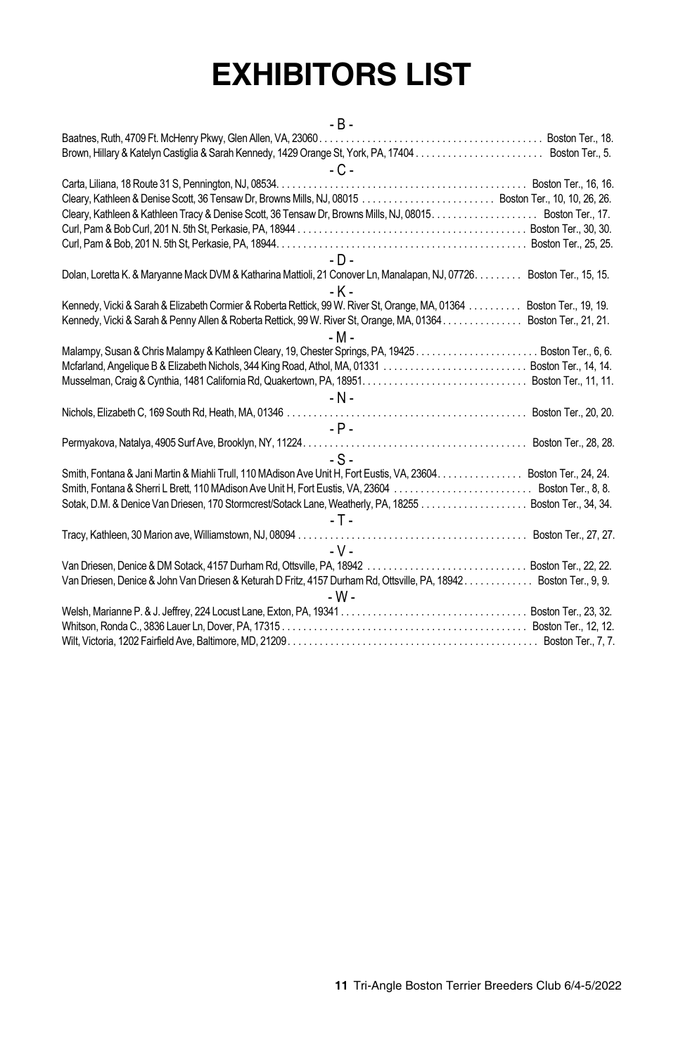# **EXHIBITORS LIST**

| - B -                                                                                                                                          |                      |
|------------------------------------------------------------------------------------------------------------------------------------------------|----------------------|
| Baatnes, Ruth, 4709 Ft. McHenry Pkwy, Glen Allen, VA, 23060                                                                                    | Boston Ter., 18.     |
|                                                                                                                                                |                      |
| - C -                                                                                                                                          |                      |
|                                                                                                                                                |                      |
|                                                                                                                                                |                      |
|                                                                                                                                                |                      |
|                                                                                                                                                |                      |
|                                                                                                                                                |                      |
| $-D-$                                                                                                                                          |                      |
| Dolan, Loretta K. & Maryanne Mack DVM & Katharina Mattioli, 21 Conover Ln, Manalapan, NJ, 07726. Boston Ter., 15, 15.                          |                      |
| - K -                                                                                                                                          |                      |
| Kennedy, Vicki & Sarah & Elizabeth Cormier & Roberta Rettick, 99 W. River St, Orange, MA, 01364                                                | Boston Ter., 19, 19. |
| Kennedy, Vicki & Sarah & Penny Allen & Roberta Rettick, 99 W. River St, Orange, MA, 01364. Boston Ter., 21, 21.                                |                      |
| - M -                                                                                                                                          |                      |
|                                                                                                                                                |                      |
|                                                                                                                                                |                      |
|                                                                                                                                                |                      |
|                                                                                                                                                |                      |
| - N -                                                                                                                                          |                      |
| Nichols, Elizabeth C, 169 South Rd, Heath, MA, 01346                                                                                           | Boston Ter., 20, 20. |
| $-$ P $-$                                                                                                                                      |                      |
| Permyakova, Natalya, 4905 Surf Ave, Brooklyn, NY, 11224. $\ldots \ldots \ldots \ldots \ldots \ldots \ldots \ldots \ldots \ldots \ldots \ldots$ | Boston Ter., 28, 28. |
| $-S -$                                                                                                                                         |                      |
| Smith, Fontana & Jani Martin & Miahli Trull, 110 MAdison Ave Unit H, Fort Eustis, VA, 23604. Boston Ter., 24, 24.                              |                      |
|                                                                                                                                                |                      |
| Sotak, D.M. & Denice Van Driesen, 170 Stormcrest/Sotack Lane, Weatherly, PA, 18255  Boston Ter., 34, 34.                                       |                      |
| - T -                                                                                                                                          |                      |
| Tracy, Kathleen, 30 Marion ave, Williamstown, NJ, 08094.                                                                                       | Boston Ter., 27, 27. |
| $-V -$                                                                                                                                         |                      |
|                                                                                                                                                |                      |
| Van Driesen, Denice & John Van Driesen & Keturah D Fritz, 4157 Durham Rd, Ottsville, PA, 18942 Boston Ter., 9, 9.                              |                      |
| - W -                                                                                                                                          |                      |
|                                                                                                                                                |                      |
|                                                                                                                                                |                      |
|                                                                                                                                                |                      |